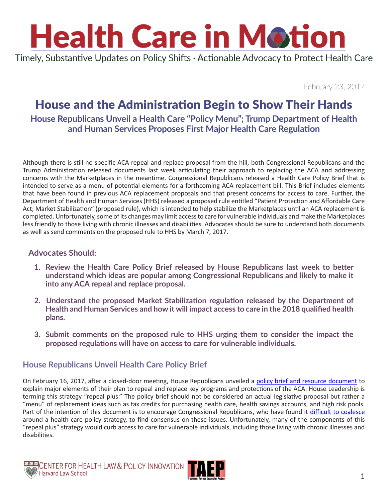Timely, Substantive Updates on Policy Shifts · Actionable Advocacy to Protect Health Care

February 23, 2017

### House and the Administration Begin to Show Their Hands

#### **House Republicans Unveil a Health Care "Policy Menu"; Trump Department of Health and Human Services Proposes First Major Health Care Regulation**

Although there is still no specific ACA repeal and replace proposal from the hill, both Congressional Republicans and the Trump Administration released documents last week articulating their approach to replacing the ACA and addressing concerns with the Marketplaces in the meantime. Congressional Republicans released a Health Care Policy Brief that is intended to serve as a menu of potential elements for a forthcoming ACA replacement bill. This Brief includes elements that have been found in previous ACA replacement proposals and that present concerns for access to care. Further, the Department of Health and Human Services (HHS) released a proposed rule entitled "Patient Protection and Affordable Care Act; Market Stabilization" (proposed rule), which is intended to help stabilize the Marketplaces until an ACA replacement is completed. Unfortunately, some of its changes may limit access to care for vulnerable individuals and make the Marketplaces less friendly to those living with chronic illnesses and disabilities. Advocates should be sure to understand both documents as well as send comments on the proposed rule to HHS by March 7, 2017.

#### **Advocates Should:**

- **1. Review the Health Care Policy Brief released by House Republicans last week to better understand which ideas are popular among Congressional Republicans and likely to make it into any ACA repeal and replace proposal.**
- **2. Understand the proposed Market Stabilization regulation released by the Department of Health and Human Services and how it will impact access to care in the 2018 qualified health plans.**
- **3. Submit comments on the proposed rule to HHS urging them to consider the impact the proposed regulations will have on access to care for vulnerable individuals.**

#### **House Republicans Unveil Health Care Policy Brief**

On February 16, 2017, after a closed-door meeting, House Republicans unveiled a [policy brief and resource document](https://www.politicopro.com/f/?id=0000015a-47d7-d615-a97f-67ff5fbb0001) to explain major elements of their plan to repeal and replace key programs and protections of the ACA. House Leadership is terming this strategy "repeal plus." The policy brief should not be considered an actual legislative proposal but rather a "menu" of replacement ideas such as tax credits for purchasing health care, health savings accounts, and high risk pools. Part of the intention of this document is to encourage Congressional Republicans, who have found it [difficult to coalesce](http://www.politico.com/story/2017/02/obamacare-repeal-menu-house-gop-235088) around a health care policy strategy, to find consensus on these issues. Unfortunately, many of the components of this "repeal plus" strategy would curb access to care for vulnerable individuals, including those living with chronic illnesses and disabilities.

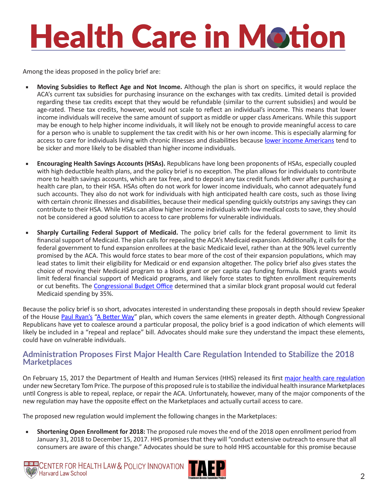Among the ideas proposed in the policy brief are:

- **Moving Subsidies to Reflect Age and Not Income.** Although the plan is short on specifics, it would replace the ACA's current tax subsidies for purchasing insurance on the exchanges with tax credits. Limited detail is provided regarding these tax credits except that they would be refundable (similar to the current subsidies) and would be age-rated. These tax credits, however, would not scale to reflect an individual's income. This means that lower income individuals will receive the same amount of support as middle or upper class Americans. While this support may be enough to help higher income individuals, it will likely not be enough to provide meaningful access to care for a person who is unable to supplement the tax credit with his or her own income. This is especially alarming for access to care for individuals living with chronic illnesses and disabilities because [lower income Americans](http://www.npr.org/sections/health-shots/2015/07/23/424990474/why-disability-and-poverty-still-go-hand-in-hand-25-years-after-landmark-law) tend to be sicker and more likely to be disabled than higher income individuals.
- **Encouraging Health Savings Accounts (HSAs).** Republicans have long been proponents of HSAs, especially coupled with high deductible health plans, and the policy brief is no exception. The plan allows for individuals to contribute more to health savings accounts, which are tax free, and to deposit any tax credit funds left over after purchasing a health care plan, to their HSA. HSAs often do not work for lower income individuals, who cannot adequately fund such accounts. They also do not work for individuals with high anticipated health care costs, such as those living with certain chronic illnesses and disabilities, because their medical spending quickly outstrips any savings they can contribute to their HSA. While HSAs can allow higher income individuals with low medical costs to save, they should not be considered a good solution to access to care problems for vulnerable individuals.
- **Sharply Curtailing Federal Support of Medicaid.** The policy brief calls for the federal government to limit its financial support of Medicaid. The plan calls for repealing the ACA's Medicaid expansion. Additionally, it calls for the federal government to fund expansion enrollees at the basic Medicaid level, rather than at the 90% level currently promised by the ACA. This would force states to bear more of the cost of their expansion populations, which may lead states to limit their eligibility for Medicaid or end expansion altogether. The policy brief also gives states the choice of moving their Medicaid program to a block grant or per capita cap funding formula. Block grants would limit federal financial support of Medicaid programs, and likely force states to tighten enrollment requirements or cut benefits. The [Congressional Budget Office](https://www.cbo.gov/sites/default/files/112th-congress-2011-2012/reports/04-05-ryan_letter.pdf) determined that a similar block grant proposal would cut federal Medicaid spending by 35%.

Because the policy brief is so short, advocates interested in understanding these proposals in depth should review Speaker of the House [Paul Ryan's](https://paulryan.house.gov/contact/) ["A Better Way"](https://abetterway.speaker.gov/_assets/pdf/ABetterWay-HealthCare-PolicyPaper.pdf) plan, which covers the same elements in greater depth. Although Congressional Republicans have yet to coalesce around a particular proposal, the policy brief is a good indication of which elements will likely be included in a "repeal and replace" bill. Advocates should make sure they understand the impact these elements, could have on vulnerable individuals.

#### **Administration Proposes First Major Health Care Regulation Intended to Stabilize the 2018 Marketplaces**

On February 15, 2017 the Department of Health and Human Services (HHS) released its first [major health care regulation](https://www.federalregister.gov/documents/2017/02/17/2017-03027/patient-protection-and-affordable-care-act-market-stabilization) under new Secretary Tom Price. The purpose of this proposed rule is to stabilize the individual health insurance Marketplaces until Congress is able to repeal, replace, or repair the ACA. Unfortunately, however, many of the major components of the new regulation may have the opposite effect on the Marketplaces and actually curtail access to care.

The proposed new regulation would implement the following changes in the Marketplaces:

■ **Shortening Open Enrollment for 2018:** The proposed rule moves the end of the 2018 open enrollment period from January 31, 2018 to December 15, 2017. HHS promises that they will "conduct extensive outreach to ensure that all consumers are aware of this change." Advocates should be sure to hold HHS accountable for this promise because



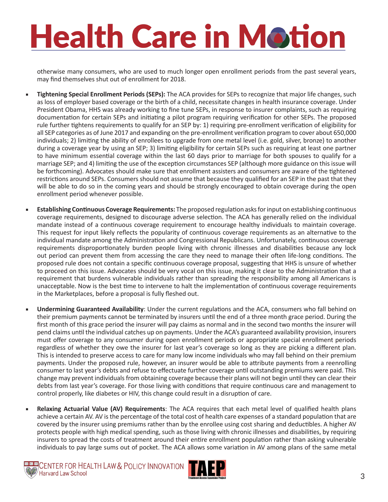otherwise many consumers, who are used to much longer open enrollment periods from the past several years, may find themselves shut out of enrollment for 2018.

- **Tightening Special Enrollment Periods (SEPs):** The ACA provides for SEPs to recognize that major life changes, such as loss of employer based coverage or the birth of a child, necessitate changes in health insurance coverage. Under President Obama, HHS was already working to fine tune SEPs, in response to insurer complaints, such as requiring documentation for certain SEPs and initiating a pilot program requiring verification for other SEPs. The proposed rule further tightens requirements to qualify for an SEP by: 1) requiring pre-enrollment verification of eligibility for all SEP categories as of June 2017 and expanding on the pre-enrollment verification program to cover about 650,000 individuals; 2) limiting the ability of enrollees to upgrade from one metal level (i.e. gold, silver, bronze) to another during a coverage year by using an SEP; 3) limiting eligibility for certain SEPs such as requiring at least one partner to have minimum essential coverage within the last 60 days prior to marriage for both spouses to qualify for a marriage SEP; and 4) limiting the use of the exception circumstances SEP (although more guidance on this issue will be forthcoming). Advocates should make sure that enrollment assisters and consumers are aware of the tightened restrictions around SEPs. Consumers should not assume that because they qualified for an SEP in the past that they will be able to do so in the coming years and should be strongly encouraged to obtain coverage during the open enrollment period whenever possible.
- **Establishing Continuous Coverage Requirements:** The proposed regulation asks for input on establishing continuous coverage requirements, designed to discourage adverse selection. The ACA has generally relied on the individual mandate instead of a continuous coverage requirement to encourage healthy individuals to maintain coverage. This request for input likely reflects the popularity of continuous coverage requirements as an alternative to the individual mandate among the Administration and Congressional Republicans. Unfortunately, continuous coverage requirements disproportionately burden people living with chronic illnesses and disabilities because any lock out period can prevent them from accessing the care they need to manage their often life-long conditions. The proposed rule does not contain a specific continuous coverage proposal, suggesting that HHS is unsure of whether to proceed on this issue. Advocates should be very vocal on this issue, making it clear to the Administration that a requirement that burdens vulnerable individuals rather than spreading the responsibility among all Americans is unacceptable. Now is the best time to intervene to halt the implementation of continuous coverage requirements in the Marketplaces, before a proposal is fully fleshed out.
- **Undermining Guaranteed Availability**: Under the current regulations and the ACA, consumers who fall behind on their premium payments cannot be terminated by insurers until the end of a three month grace period. During the first month of this grace period the insurer will pay claims as normal and in the second two months the insurer will pend claims until the individual catches up on payments. Under the ACA's guaranteed availability provision, insurers must offer coverage to any consumer during open enrollment periods or appropriate special enrollment periods regardless of whether they owe the insurer for last year's coverage so long as they are picking a different plan. This is intended to preserve access to care for many low income individuals who may fall behind on their premium payments. Under the proposed rule, however, an insurer would be able to attribute payments from a reenrolling consumer to last year's debts and refuse to effectuate further coverage until outstanding premiums were paid. This change may prevent individuals from obtaining coverage because their plans will not begin until they can clear their debts from last year's coverage. For those living with conditions that require continuous care and management to control properly, like diabetes or HIV, this change could result in a disruption of care.
- **Relaxing Actuarial Value (AV) Requirements**: The ACA requires that each metal level of qualified health plans achieve a certain AV. AV is the percentage of the total cost of health care expenses of a standard population that are covered by the insurer using premiums rather than by the enrollee using cost sharing and deductibles. A higher AV protects people with high medical spending, such as those living with chronic illnesses and disabilities, by requiring insurers to spread the costs of treatment around their entire enrollment population rather than asking vulnerable individuals to pay large sums out of pocket. The ACA allows some variation in AV among plans of the same metal